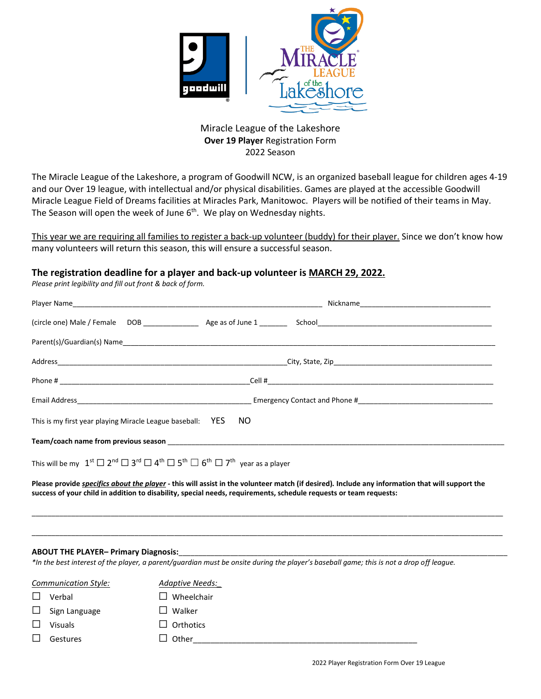

Miracle League of the Lakeshore **Over 19 Player** Registration Form 2022 Season

The Miracle League of the Lakeshore, a program of Goodwill NCW, is an organized baseball league for children ages 4-19 and our Over 19 league, with intellectual and/or physical disabilities. Games are played at the accessible Goodwill Miracle League Field of Dreams facilities at Miracles Park, Manitowoc. Players will be notified of their teams in May. The Season will open the week of June 6<sup>th</sup>. We play on Wednesday nights.

This year we are requiring all families to register a back-up volunteer (buddy) for their player. Since we don't know how many volunteers will return this season, this will ensure a successful season.

## **The registration deadline for a player and back-up volunteer is MARCH 29, 2022.**

*Please print legibility and fill out front & back of form.*

| This is my first year playing Miracle League baseball: YES NO                                                                                                                        |  |  |  |  |
|--------------------------------------------------------------------------------------------------------------------------------------------------------------------------------------|--|--|--|--|
| Team/coach name from previous season example to a series of the season of the season of the season of the season                                                                     |  |  |  |  |
| This will be my $1^{\text{st}} \square 2^{\text{nd}} \square 3^{\text{rd}} \square 4^{\text{th}} \square 5^{\text{th}} \square 6^{\text{th}} \square 7^{\text{th}}$ year as a player |  |  |  |  |
| Please provide <i>specifics about the player</i> - this will assist in the volunteer match (if desired). Include any information that will support the                               |  |  |  |  |

\_\_\_\_\_\_\_\_\_\_\_\_\_\_\_\_\_\_\_\_\_\_\_\_\_\_\_\_\_\_\_\_\_\_\_\_\_\_\_\_\_\_\_\_\_\_\_\_\_\_\_\_\_\_\_\_\_\_\_\_\_\_\_\_\_\_\_\_\_\_\_\_\_\_\_\_\_\_\_\_\_\_\_\_\_\_\_\_\_\_\_\_\_\_\_\_\_\_\_\_\_\_\_\_\_\_\_\_\_\_\_\_\_\_\_\_\_\_\_

\_\_\_\_\_\_\_\_\_\_\_\_\_\_\_\_\_\_\_\_\_\_\_\_\_\_\_\_\_\_\_\_\_\_\_\_\_\_\_\_\_\_\_\_\_\_\_\_\_\_\_\_\_\_\_\_\_\_\_\_\_\_\_\_\_\_\_\_\_\_\_\_\_\_\_\_\_\_\_\_\_\_\_\_\_\_\_\_\_\_\_\_\_\_\_\_\_\_\_\_\_\_\_\_\_\_\_\_\_\_\_\_\_\_\_\_\_\_\_

## **ABOUT THE PLAYER– Primary Diagnosis:**\_\_\_\_\_\_\_\_\_\_\_\_\_\_\_\_\_\_\_\_\_\_\_\_\_\_\_\_\_\_\_\_\_\_\_\_\_\_\_\_\_\_\_\_\_\_\_\_\_\_\_\_\_\_\_\_\_\_\_\_\_\_\_\_\_\_\_\_\_\_\_\_\_\_\_\_\_\_\_\_\_\_\_

*\*In the best interest of the player, a parent/guardian must be onsite during the player's baseball game; this is not a drop off league.*

**success of your child in addition to disability, special needs, requirements, schedule requests or team requests:** 

| Communication Style: |                      | Adaptive Needs:  |
|----------------------|----------------------|------------------|
|                      | Verbal               | l Wheelchair     |
|                      | $\Box$ Sign Language | $\square$ Walker |
|                      | <b>Visuals</b>       | $\Box$ Orthotics |
|                      | Gestures             | $\Box$ Other     |